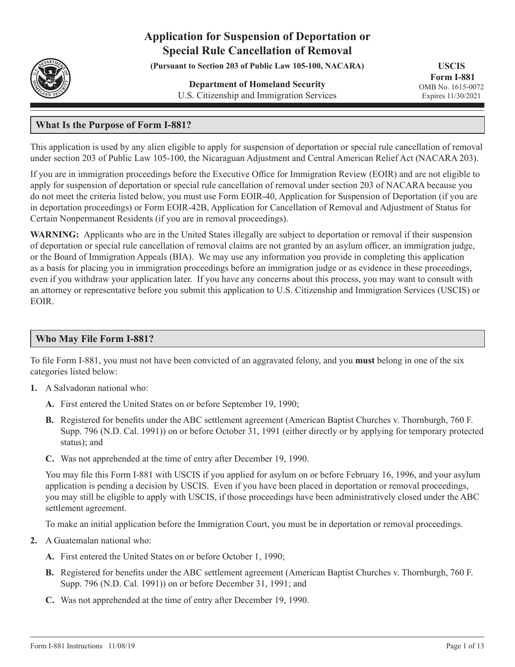# **Application for Suspension of Deportation or Special Rule Cancellation of Removal**

**(Pursuant to Section 203 of Public Law 105-100, NACARA)**

**Department of Homeland Security** U.S. Citizenship and Immigration Services

**USCIS Form I-881** OMB No. 1615-0072 Expires 11/30/2021

## **What Is the Purpose of Form I-881?**

This application is used by any alien eligible to apply for suspension of deportation or special rule cancellation of removal under section 203 of Public Law 105-100, the Nicaraguan Adjustment and Central American Relief Act (NACARA 203).

If you are in immigration proceedings before the Executive Office for Immigration Review (EOIR) and are not eligible to apply for suspension of deportation or special rule cancellation of removal under section 203 of NACARA because you do not meet the criteria listed below, you must use Form EOIR-40, Application for Suspension of Deportation (if you are in deportation proceedings) or Form EOIR-42B, Application for Cancellation of Removal and Adjustment of Status for Certain Nonpermanent Residents (if you are in removal proceedings).

**WARNING:** Applicants who are in the United States illegally are subject to deportation or removal if their suspension of deportation or special rule cancellation of removal claims are not granted by an asylum officer, an immigration judge, or the Board of Immigration Appeals (BIA). We may use any information you provide in completing this application as a basis for placing you in immigration proceedings before an immigration judge or as evidence in these proceedings, even if you withdraw your application later. If you have any concerns about this process, you may want to consult with an attorney or representative before you submit this application to U.S. Citizenship and Immigration Services (USCIS) or EOIR.

## **Who May File Form I-881?**

To file Form I-881, you must not have been convicted of an aggravated felony, and you **must** belong in one of the six categories listed below:

- **1.** A Salvadoran national who:
	- **A.** First entered the United States on or before September 19, 1990;
	- **B.** Registered for benefits under the ABC settlement agreement (American Baptist Churches v. Thornburgh, 760 F. Supp. 796 (N.D. Cal. 1991)) on or before October 31, 1991 (either directly or by applying for temporary protected status); and
	- **C.** Was not apprehended at the time of entry after December 19, 1990.

You may file this Form I-881 with USCIS if you applied for asylum on or before February 16, 1996, and your asylum application is pending a decision by USCIS. Even if you have been placed in deportation or removal proceedings, you may still be eligible to apply with USCIS, if those proceedings have been administratively closed under the ABC settlement agreement.

To make an initial application before the Immigration Court, you must be in deportation or removal proceedings.

- **2.** A Guatemalan national who:
	- **A.** First entered the United States on or before October 1, 1990;
	- **B.** Registered for benefits under the ABC settlement agreement (American Baptist Churches v. Thornburgh, 760 F. Supp. 796 (N.D. Cal. 1991)) on or before December 31, 1991; and
	- **C.** Was not apprehended at the time of entry after December 19, 1990.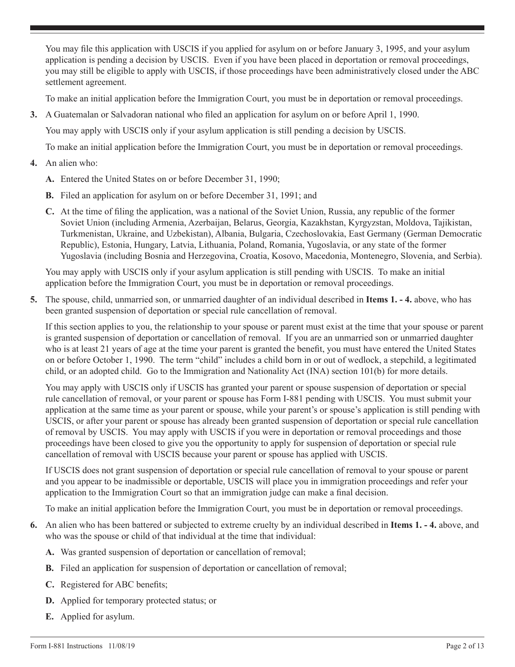You may file this application with USCIS if you applied for asylum on or before January 3, 1995, and your asylum application is pending a decision by USCIS. Even if you have been placed in deportation or removal proceedings, you may still be eligible to apply with USCIS, if those proceedings have been administratively closed under the ABC settlement agreement.

To make an initial application before the Immigration Court, you must be in deportation or removal proceedings.

**3.** A Guatemalan or Salvadoran national who filed an application for asylum on or before April 1, 1990.

You may apply with USCIS only if your asylum application is still pending a decision by USCIS.

To make an initial application before the Immigration Court, you must be in deportation or removal proceedings.

- **4.** An alien who:
	- **A.** Entered the United States on or before December 31, 1990;
	- **B.** Filed an application for asylum on or before December 31, 1991; and
	- **C.** At the time of filing the application, was a national of the Soviet Union, Russia, any republic of the former Soviet Union (including Armenia, Azerbaijan, Belarus, Georgia, Kazakhstan, Kyrgyzstan, Moldova, Tajikistan, Turkmenistan, Ukraine, and Uzbekistan), Albania, Bulgaria, Czechoslovakia, East Germany (German Democratic Republic), Estonia, Hungary, Latvia, Lithuania, Poland, Romania, Yugoslavia, or any state of the former Yugoslavia (including Bosnia and Herzegovina, Croatia, Kosovo, Macedonia, Montenegro, Slovenia, and Serbia).

You may apply with USCIS only if your asylum application is still pending with USCIS. To make an initial application before the Immigration Court, you must be in deportation or removal proceedings.

**5.** The spouse, child, unmarried son, or unmarried daughter of an individual described in **Items 1. - 4.** above, who has been granted suspension of deportation or special rule cancellation of removal.

If this section applies to you, the relationship to your spouse or parent must exist at the time that your spouse or parent is granted suspension of deportation or cancellation of removal. If you are an unmarried son or unmarried daughter who is at least 21 years of age at the time your parent is granted the benefit, you must have entered the United States on or before October 1, 1990. The term "child" includes a child born in or out of wedlock, a stepchild, a legitimated child, or an adopted child. Go to the Immigration and Nationality Act (INA) section 101(b) for more details.

You may apply with USCIS only if USCIS has granted your parent or spouse suspension of deportation or special rule cancellation of removal, or your parent or spouse has Form I-881 pending with USCIS. You must submit your application at the same time as your parent or spouse, while your parent's or spouse's application is still pending with USCIS, or after your parent or spouse has already been granted suspension of deportation or special rule cancellation of removal by USCIS. You may apply with USCIS if you were in deportation or removal proceedings and those proceedings have been closed to give you the opportunity to apply for suspension of deportation or special rule cancellation of removal with USCIS because your parent or spouse has applied with USCIS.

If USCIS does not grant suspension of deportation or special rule cancellation of removal to your spouse or parent and you appear to be inadmissible or deportable, USCIS will place you in immigration proceedings and refer your application to the Immigration Court so that an immigration judge can make a final decision.

To make an initial application before the Immigration Court, you must be in deportation or removal proceedings.

- **6.** An alien who has been battered or subjected to extreme cruelty by an individual described in **Items 1. 4.** above, and who was the spouse or child of that individual at the time that individual:
	- **A.** Was granted suspension of deportation or cancellation of removal;
	- **B.** Filed an application for suspension of deportation or cancellation of removal;
	- **C.** Registered for ABC benefits;
	- **D.** Applied for temporary protected status; or
	- **E.** Applied for asylum.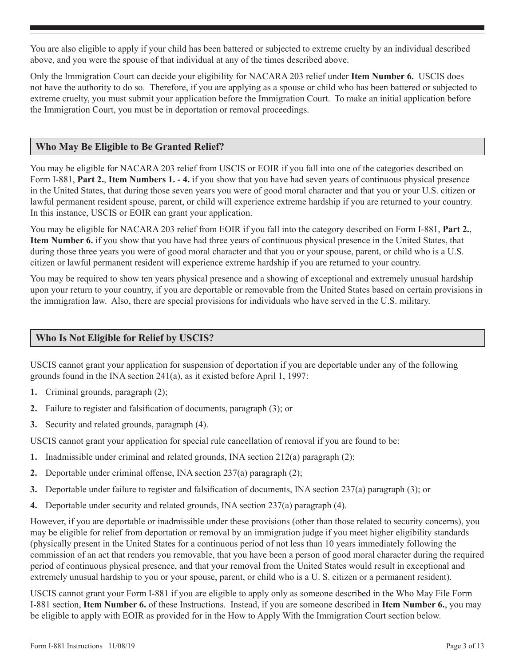You are also eligible to apply if your child has been battered or subjected to extreme cruelty by an individual described above, and you were the spouse of that individual at any of the times described above.

Only the Immigration Court can decide your eligibility for NACARA 203 relief under **Item Number 6.** USCIS does not have the authority to do so. Therefore, if you are applying as a spouse or child who has been battered or subjected to extreme cruelty, you must submit your application before the Immigration Court. To make an initial application before the Immigration Court, you must be in deportation or removal proceedings.

## **Who May Be Eligible to Be Granted Relief?**

You may be eligible for NACARA 203 relief from USCIS or EOIR if you fall into one of the categories described on Form I-881, **Part 2.**, **Item Numbers 1. - 4.** if you show that you have had seven years of continuous physical presence in the United States, that during those seven years you were of good moral character and that you or your U.S. citizen or lawful permanent resident spouse, parent, or child will experience extreme hardship if you are returned to your country. In this instance, USCIS or EOIR can grant your application.

You may be eligible for NACARA 203 relief from EOIR if you fall into the category described on Form I-881, **Part 2.**, **Item Number 6.** if you show that you have had three years of continuous physical presence in the United States, that during those three years you were of good moral character and that you or your spouse, parent, or child who is a U.S. citizen or lawful permanent resident will experience extreme hardship if you are returned to your country.

You may be required to show ten years physical presence and a showing of exceptional and extremely unusual hardship upon your return to your country, if you are deportable or removable from the United States based on certain provisions in the immigration law. Also, there are special provisions for individuals who have served in the U.S. military.

## **Who Is Not Eligible for Relief by USCIS?**

USCIS cannot grant your application for suspension of deportation if you are deportable under any of the following grounds found in the INA section 241(a), as it existed before April 1, 1997:

- **1.** Criminal grounds, paragraph (2);
- **2.** Failure to register and falsification of documents, paragraph (3); or
- **3.** Security and related grounds, paragraph (4).

USCIS cannot grant your application for special rule cancellation of removal if you are found to be:

- **1.** Inadmissible under criminal and related grounds, INA section 212(a) paragraph (2);
- **2.** Deportable under criminal offense, INA section 237(a) paragraph (2);
- **3.** Deportable under failure to register and falsification of documents, INA section 237(a) paragraph (3); or
- **4.** Deportable under security and related grounds, INA section 237(a) paragraph (4).

However, if you are deportable or inadmissible under these provisions (other than those related to security concerns), you may be eligible for relief from deportation or removal by an immigration judge if you meet higher eligibility standards (physically present in the United States for a continuous period of not less than 10 years immediately following the commission of an act that renders you removable, that you have been a person of good moral character during the required period of continuous physical presence, and that your removal from the United States would result in exceptional and extremely unusual hardship to you or your spouse, parent, or child who is a U. S. citizen or a permanent resident).

USCIS cannot grant your Form I-881 if you are eligible to apply only as someone described in the Who May File Form I-881 section, **Item Number 6.** of these Instructions. Instead, if you are someone described in **Item Number 6.**, you may be eligible to apply with EOIR as provided for in the How to Apply With the Immigration Court section below.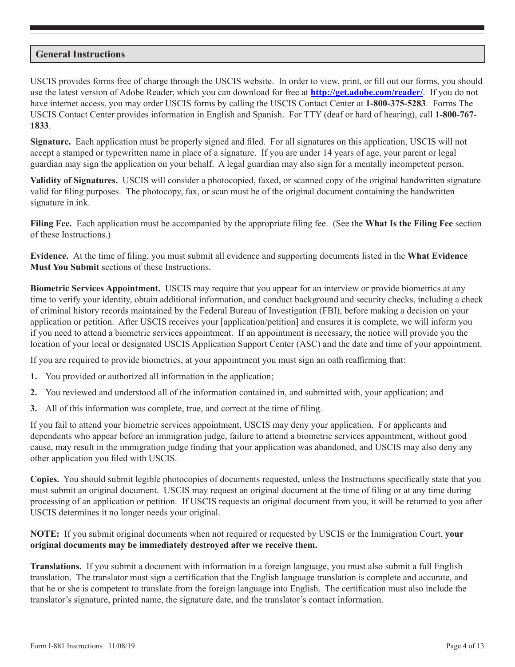## **General Instructions**

USCIS provides forms free of charge through the USCIS website. In order to view, print, or fill out our forms, you should use the latest version of Adobe Reader, which you can download for free at **http://get.adobe.com/reader/**. If you do not have internet access, you may order USCIS forms by calling the USCIS Contact Center at **1-800-375-5283**. Forms The USCIS Contact Center provides information in English and Spanish. For TTY (deaf or hard of hearing), call **1-800-767- 1833**.

**Signature.** Each application must be properly signed and filed. For all signatures on this application, USCIS will not accept a stamped or typewritten name in place of a signature. If you are under 14 years of age, your parent or legal guardian may sign the application on your behalf. A legal guardian may also sign for a mentally incompetent person.

**Validity of Signatures.** USCIS will consider a photocopied, faxed, or scanned copy of the original handwritten signature valid for filing purposes. The photocopy, fax, or scan must be of the original document containing the handwritten signature in ink.

**Filing Fee.** Each application must be accompanied by the appropriate filing fee. (See the **What Is the Filing Fee** section of these Instructions.)

**Evidence.** At the time of filing, you must submit all evidence and supporting documents listed in the **What Evidence Must You Submit** sections of these Instructions.

**Biometric Services Appointment.** USCIS may require that you appear for an interview or provide biometrics at any time to verify your identity, obtain additional information, and conduct background and security checks, including a check of criminal history records maintained by the Federal Bureau of Investigation (FBI), before making a decision on your application or petition. After USCIS receives your [application/petition] and ensures it is complete, we will inform you if you need to attend a biometric services appointment. If an appointment is necessary, the notice will provide you the location of your local or designated USCIS Application Support Center (ASC) and the date and time of your appointment.

If you are required to provide biometrics, at your appointment you must sign an oath reaffirming that:

- **1.** You provided or authorized all information in the application;
- **2.** You reviewed and understood all of the information contained in, and submitted with, your application; and
- **3.** All of this information was complete, true, and correct at the time of filing.

If you fail to attend your biometric services appointment, USCIS may deny your application. For applicants and dependents who appear before an immigration judge, failure to attend a biometric services appointment, without good cause, may result in the immigration judge finding that your application was abandoned, and USCIS may also deny any other application you filed with USCIS.

**Copies.** You should submit legible photocopies of documents requested, unless the Instructions specifically state that you must submit an original document. USCIS may request an original document at the time of filing or at any time during processing of an application or petition. If USCIS requests an original document from you, it will be returned to you after USCIS determines it no longer needs your original.

**NOTE:** If you submit original documents when not required or requested by USCIS or the Immigration Court, **your original documents may be immediately destroyed after we receive them.**

**Translations.** If you submit a document with information in a foreign language, you must also submit a full English translation. The translator must sign a certification that the English language translation is complete and accurate, and that he or she is competent to translate from the foreign language into English. The certification must also include the translator's signature, printed name, the signature date, and the translator's contact information.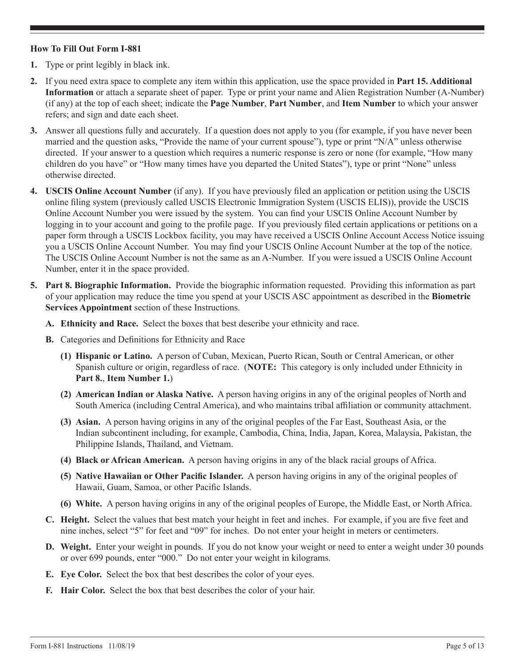## **How To Fill Out Form I-881**

- **1.** Type or print legibly in black ink.
- **2.** If you need extra space to complete any item within this application, use the space provided in **Part 15. Additional Information** or attach a separate sheet of paper. Type or print your name and Alien Registration Number (A-Number) (if any) at the top of each sheet; indicate the **Page Number**, **Part Number**, and **Item Number** to which your answer refers; and sign and date each sheet.
- **3.** Answer all questions fully and accurately. If a question does not apply to you (for example, if you have never been married and the question asks, "Provide the name of your current spouse"), type or print "N/A" unless otherwise directed. If your answer to a question which requires a numeric response is zero or none (for example, "How many children do you have" or "How many times have you departed the United States"), type or print "None" unless otherwise directed.
- **4. USCIS Online Account Number** (if any). If you have previously filed an application or petition using the USCIS online filing system (previously called USCIS Electronic Immigration System (USCIS ELIS)), provide the USCIS Online Account Number you were issued by the system. You can find your USCIS Online Account Number by logging in to your account and going to the profile page. If you previously filed certain applications or petitions on a paper form through a USCIS Lockbox facility, you may have received a USCIS Online Account Access Notice issuing you a USCIS Online Account Number. You may find your USCIS Online Account Number at the top of the notice. The USCIS Online Account Number is not the same as an A-Number. If you were issued a USCIS Online Account Number, enter it in the space provided.
- **5. Part 8. Biographic Information.** Provide the biographic information requested. Providing this information as part of your application may reduce the time you spend at your USCIS ASC appointment as described in the **Biometric Services Appointment** section of these Instructions.
	- **A. Ethnicity and Race.** Select the boxes that best describe your ethnicity and race.
	- **B.** Categories and Definitions for Ethnicity and Race
		- **(1) Hispanic or Latino.** A person of Cuban, Mexican, Puerto Rican, South or Central American, or other Spanish culture or origin, regardless of race. (**NOTE:** This category is only included under Ethnicity in **Part 8.**, **Item Number 1.**)
		- **(2) American Indian or Alaska Native.** A person having origins in any of the original peoples of North and South America (including Central America), and who maintains tribal affiliation or community attachment.
		- **(3) Asian.** A person having origins in any of the original peoples of the Far East, Southeast Asia, or the Indian subcontinent including, for example, Cambodia, China, India, Japan, Korea, Malaysia, Pakistan, the Philippine Islands, Thailand, and Vietnam.
		- **(4) Black or African American.** A person having origins in any of the black racial groups of Africa.
		- **(5) Native Hawaiian or Other Pacific Islander.** A person having origins in any of the original peoples of Hawaii, Guam, Samoa, or other Pacific Islands.
		- **(6) White.** A person having origins in any of the original peoples of Europe, the Middle East, or North Africa.
	- **C. Height.** Select the values that best match your height in feet and inches. For example, if you are five feet and nine inches, select "5" for feet and "09" for inches. Do not enter your height in meters or centimeters.
	- **D. Weight.** Enter your weight in pounds. If you do not know your weight or need to enter a weight under 30 pounds or over 699 pounds, enter "000." Do not enter your weight in kilograms.
	- **E. Eye Color.** Select the box that best describes the color of your eyes.
	- **F. Hair Color.** Select the box that best describes the color of your hair.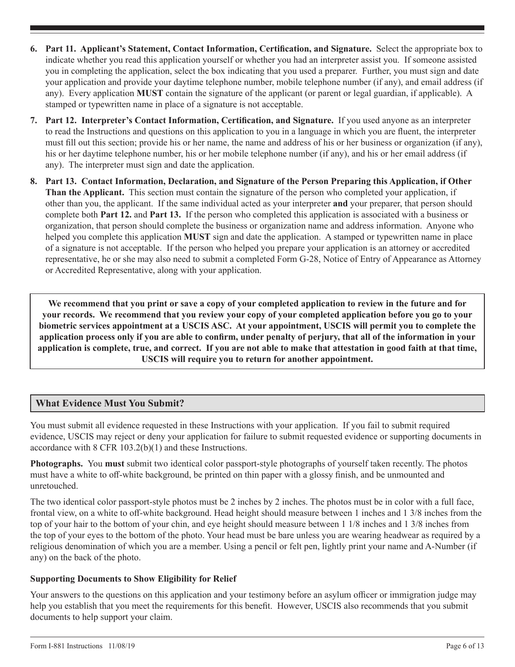- **6. Part 11. Applicant's Statement, Contact Information, Certification, and Signature.** Select the appropriate box to indicate whether you read this application yourself or whether you had an interpreter assist you. If someone assisted you in completing the application, select the box indicating that you used a preparer. Further, you must sign and date your application and provide your daytime telephone number, mobile telephone number (if any), and email address (if any). Every application **MUST** contain the signature of the applicant (or parent or legal guardian, if applicable). A stamped or typewritten name in place of a signature is not acceptable.
- **7. Part 12. Interpreter's Contact Information, Certification, and Signature.** If you used anyone as an interpreter to read the Instructions and questions on this application to you in a language in which you are fluent, the interpreter must fill out this section; provide his or her name, the name and address of his or her business or organization (if any), his or her daytime telephone number, his or her mobile telephone number (if any), and his or her email address (if any). The interpreter must sign and date the application.
- **8. Part 13. Contact Information, Declaration, and Signature of the Person Preparing this Application, if Other Than the Applicant.** This section must contain the signature of the person who completed your application, if other than you, the applicant. If the same individual acted as your interpreter **and** your preparer, that person should complete both **Part 12.** and **Part 13.** If the person who completed this application is associated with a business or organization, that person should complete the business or organization name and address information. Anyone who helped you complete this application **MUST** sign and date the application. A stamped or typewritten name in place of a signature is not acceptable. If the person who helped you prepare your application is an attorney or accredited representative, he or she may also need to submit a completed Form G-28, Notice of Entry of Appearance as Attorney or Accredited Representative, along with your application.

**We recommend that you print or save a copy of your completed application to review in the future and for your records. We recommend that you review your copy of your completed application before you go to your biometric services appointment at a USCIS ASC. At your appointment, USCIS will permit you to complete the application process only if you are able to confirm, under penalty of perjury, that all of the information in your application is complete, true, and correct. If you are not able to make that attestation in good faith at that time, USCIS will require you to return for another appointment.**

## **What Evidence Must You Submit?**

You must submit all evidence requested in these Instructions with your application. If you fail to submit required evidence, USCIS may reject or deny your application for failure to submit requested evidence or supporting documents in accordance with 8 CFR 103.2(b)(1) and these Instructions.

**Photographs.** You **must** submit two identical color passport-style photographs of yourself taken recently. The photos must have a white to off-white background, be printed on thin paper with a glossy finish, and be unmounted and unretouched.

The two identical color passport-style photos must be 2 inches by 2 inches. The photos must be in color with a full face, frontal view, on a white to off-white background. Head height should measure between 1 inches and 1 3/8 inches from the top of your hair to the bottom of your chin, and eye height should measure between 1 1/8 inches and 1 3/8 inches from the top of your eyes to the bottom of the photo. Your head must be bare unless you are wearing headwear as required by a religious denomination of which you are a member. Using a pencil or felt pen, lightly print your name and A-Number (if any) on the back of the photo.

## **Supporting Documents to Show Eligibility for Relief**

Your answers to the questions on this application and your testimony before an asylum officer or immigration judge may help you establish that you meet the requirements for this benefit. However, USCIS also recommends that you submit documents to help support your claim.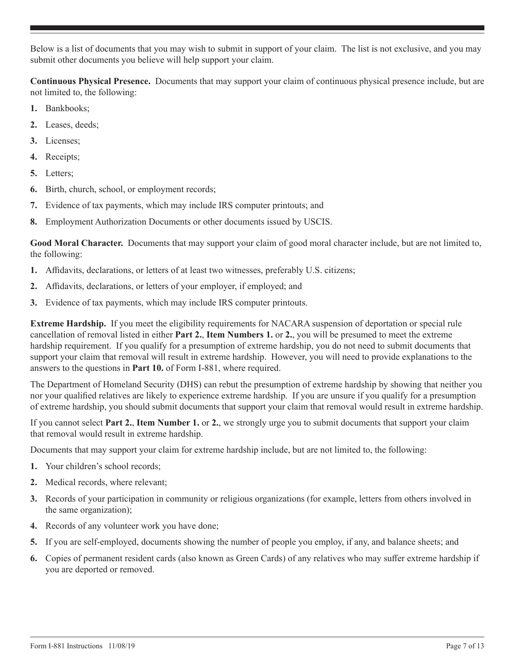Below is a list of documents that you may wish to submit in support of your claim. The list is not exclusive, and you may submit other documents you believe will help support your claim.

**Continuous Physical Presence.** Documents that may support your claim of continuous physical presence include, but are not limited to, the following:

- **1.** Bankbooks;
- **2.** Leases, deeds;
- **3.** Licenses;
- **4.** Receipts;
- **5.** Letters;
- **6.** Birth, church, school, or employment records;
- **7.** Evidence of tax payments, which may include IRS computer printouts; and
- **8.** Employment Authorization Documents or other documents issued by USCIS.

**Good Moral Character.** Documents that may support your claim of good moral character include, but are not limited to, the following:

- **1.** Affidavits, declarations, or letters of at least two witnesses, preferably U.S. citizens;
- **2.** Affidavits, declarations, or letters of your employer, if employed; and
- **3.** Evidence of tax payments, which may include IRS computer printouts.

**Extreme Hardship.** If you meet the eligibility requirements for NACARA suspension of deportation or special rule cancellation of removal listed in either **Part 2.**, **Item Numbers 1.** or **2.**, you will be presumed to meet the extreme hardship requirement. If you qualify for a presumption of extreme hardship, you do not need to submit documents that support your claim that removal will result in extreme hardship. However, you will need to provide explanations to the answers to the questions in **Part 10.** of Form I-881, where required.

The Department of Homeland Security (DHS) can rebut the presumption of extreme hardship by showing that neither you nor your qualified relatives are likely to experience extreme hardship. If you are unsure if you qualify for a presumption of extreme hardship, you should submit documents that support your claim that removal would result in extreme hardship.

If you cannot select **Part 2.**, **Item Number 1.** or **2.**, we strongly urge you to submit documents that support your claim that removal would result in extreme hardship.

Documents that may support your claim for extreme hardship include, but are not limited to, the following:

- **1.** Your children's school records;
- **2.** Medical records, where relevant;
- **3.** Records of your participation in community or religious organizations (for example, letters from others involved in the same organization);
- **4.** Records of any volunteer work you have done;
- **5.** If you are self-employed, documents showing the number of people you employ, if any, and balance sheets; and
- **6.** Copies of permanent resident cards (also known as Green Cards) of any relatives who may suffer extreme hardship if you are deported or removed.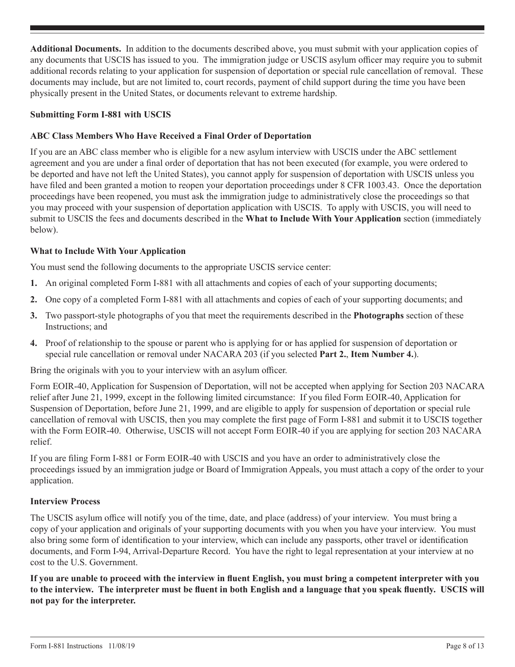**Additional Documents.** In addition to the documents described above, you must submit with your application copies of any documents that USCIS has issued to you. The immigration judge or USCIS asylum officer may require you to submit additional records relating to your application for suspension of deportation or special rule cancellation of removal. These documents may include, but are not limited to, court records, payment of child support during the time you have been physically present in the United States, or documents relevant to extreme hardship.

## **Submitting Form I-881 with USCIS**

## **ABC Class Members Who Have Received a Final Order of Deportation**

If you are an ABC class member who is eligible for a new asylum interview with USCIS under the ABC settlement agreement and you are under a final order of deportation that has not been executed (for example, you were ordered to be deported and have not left the United States), you cannot apply for suspension of deportation with USCIS unless you have filed and been granted a motion to reopen your deportation proceedings under 8 CFR 1003.43. Once the deportation proceedings have been reopened, you must ask the immigration judge to administratively close the proceedings so that you may proceed with your suspension of deportation application with USCIS. To apply with USCIS, you will need to submit to USCIS the fees and documents described in the **What to Include With Your Application** section (immediately below).

## **What to Include With Your Application**

You must send the following documents to the appropriate USCIS service center:

- **1.** An original completed Form I-881 with all attachments and copies of each of your supporting documents;
- **2.** One copy of a completed Form I-881 with all attachments and copies of each of your supporting documents; and
- **3.** Two passport-style photographs of you that meet the requirements described in the **Photographs** section of these Instructions; and
- **4.** Proof of relationship to the spouse or parent who is applying for or has applied for suspension of deportation or special rule cancellation or removal under NACARA 203 (if you selected **Part 2.**, **Item Number 4.**).

Bring the originals with you to your interview with an asylum officer.

Form EOIR-40, Application for Suspension of Deportation, will not be accepted when applying for Section 203 NACARA relief after June 21, 1999, except in the following limited circumstance: If you filed Form EOIR-40, Application for Suspension of Deportation, before June 21, 1999, and are eligible to apply for suspension of deportation or special rule cancellation of removal with USCIS, then you may complete the first page of Form I-881 and submit it to USCIS together with the Form EOIR-40. Otherwise, USCIS will not accept Form EOIR-40 if you are applying for section 203 NACARA relief.

If you are filing Form I-881 or Form EOIR-40 with USCIS and you have an order to administratively close the proceedings issued by an immigration judge or Board of Immigration Appeals, you must attach a copy of the order to your application.

#### **Interview Process**

The USCIS asylum office will notify you of the time, date, and place (address) of your interview. You must bring a copy of your application and originals of your supporting documents with you when you have your interview. You must also bring some form of identification to your interview, which can include any passports, other travel or identification documents, and Form I-94, Arrival-Departure Record. You have the right to legal representation at your interview at no cost to the U.S. Government.

**If you are unable to proceed with the interview in fluent English, you must bring a competent interpreter with you to the interview. The interpreter must be fluent in both English and a language that you speak fluently. USCIS will not pay for the interpreter.**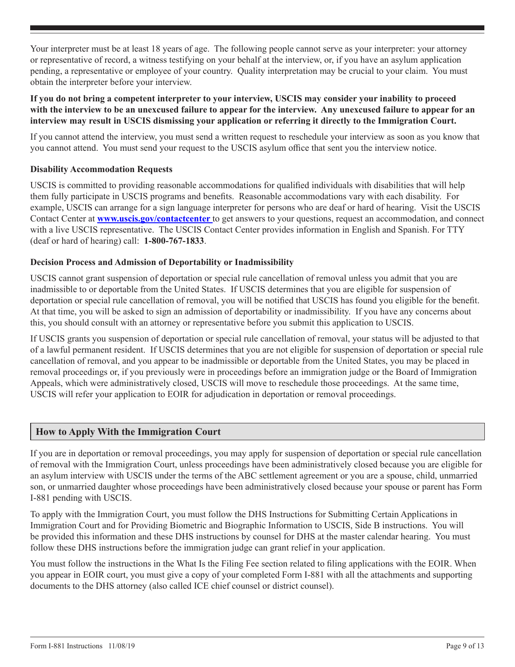Your interpreter must be at least 18 years of age. The following people cannot serve as your interpreter: your attorney or representative of record, a witness testifying on your behalf at the interview, or, if you have an asylum application pending, a representative or employee of your country. Quality interpretation may be crucial to your claim. You must obtain the interpreter before your interview.

## **If you do not bring a competent interpreter to your interview, USCIS may consider your inability to proceed with the interview to be an unexcused failure to appear for the interview. Any unexcused failure to appear for an interview may result in USCIS dismissing your application or referring it directly to the Immigration Court.**

If you cannot attend the interview, you must send a written request to reschedule your interview as soon as you know that you cannot attend. You must send your request to the USCIS asylum office that sent you the interview notice.

## **Disability Accommodation Requests**

USCIS is committed to providing reasonable accommodations for qualified individuals with disabilities that will help them fully participate in USCIS programs and benefits. Reasonable accommodations vary with each disability. For example, USCIS can arrange for a sign language interpreter for persons who are deaf or hard of hearing. Visit the USCIS Contact Center at **www.uscis.gov/contactcenter** to get answers to your questions, request an accommodation, and connect with a live USCIS representative. The USCIS Contact Center provides information in English and Spanish. For TTY (deaf or hard of hearing) call: **1-800-767-1833**.

## **Decision Process and Admission of Deportability or Inadmissibility**

USCIS cannot grant suspension of deportation or special rule cancellation of removal unless you admit that you are inadmissible to or deportable from the United States. If USCIS determines that you are eligible for suspension of deportation or special rule cancellation of removal, you will be notified that USCIS has found you eligible for the benefit. At that time, you will be asked to sign an admission of deportability or inadmissibility. If you have any concerns about this, you should consult with an attorney or representative before you submit this application to USCIS.

If USCIS grants you suspension of deportation or special rule cancellation of removal, your status will be adjusted to that of a lawful permanent resident. If USCIS determines that you are not eligible for suspension of deportation or special rule cancellation of removal, and you appear to be inadmissible or deportable from the United States, you may be placed in removal proceedings or, if you previously were in proceedings before an immigration judge or the Board of Immigration Appeals, which were administratively closed, USCIS will move to reschedule those proceedings. At the same time, USCIS will refer your application to EOIR for adjudication in deportation or removal proceedings.

## **How to Apply With the Immigration Court**

If you are in deportation or removal proceedings, you may apply for suspension of deportation or special rule cancellation of removal with the Immigration Court, unless proceedings have been administratively closed because you are eligible for an asylum interview with USCIS under the terms of the ABC settlement agreement or you are a spouse, child, unmarried son, or unmarried daughter whose proceedings have been administratively closed because your spouse or parent has Form I-881 pending with USCIS.

To apply with the Immigration Court, you must follow the DHS Instructions for Submitting Certain Applications in Immigration Court and for Providing Biometric and Biographic Information to USCIS, Side B instructions. You will be provided this information and these DHS instructions by counsel for DHS at the master calendar hearing. You must follow these DHS instructions before the immigration judge can grant relief in your application.

You must follow the instructions in the What Is the Filing Fee section related to filing applications with the EOIR. When you appear in EOIR court, you must give a copy of your completed Form I-881 with all the attachments and supporting documents to the DHS attorney (also called ICE chief counsel or district counsel).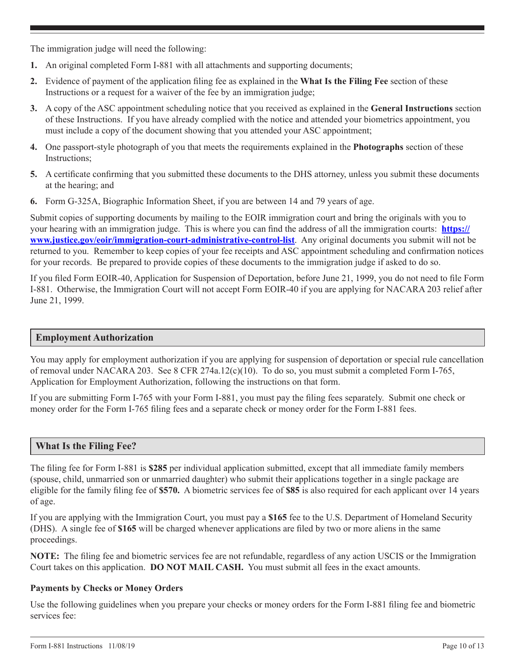The immigration judge will need the following:

- **1.** An original completed Form I-881 with all attachments and supporting documents;
- **2.** Evidence of payment of the application filing fee as explained in the **What Is the Filing Fee** section of these Instructions or a request for a waiver of the fee by an immigration judge;
- **3.** A copy of the ASC appointment scheduling notice that you received as explained in the **General Instructions** section of these Instructions. If you have already complied with the notice and attended your biometrics appointment, you must include a copy of the document showing that you attended your ASC appointment;
- **4.** One passport-style photograph of you that meets the requirements explained in the **Photographs** section of these Instructions;
- **5.** A certificate confirming that you submitted these documents to the DHS attorney, unless you submit these documents at the hearing; and
- **6.** Form G-325A, Biographic Information Sheet, if you are between 14 and 79 years of age.

Submit copies of supporting documents by mailing to the EOIR immigration court and bring the originals with you to your hearing with an immigration judge. This is where you can find the address of all the immigration courts: **https:// www.justice.gov/eoir/immigration-court-administrative-control-list**. Any original documents you submit will not be returned to you. Remember to keep copies of your fee receipts and ASC appointment scheduling and confirmation notices for your records. Be prepared to provide copies of these documents to the immigration judge if asked to do so.

If you filed Form EOIR-40, Application for Suspension of Deportation, before June 21, 1999, you do not need to file Form I-881. Otherwise, the Immigration Court will not accept Form EOIR-40 if you are applying for NACARA 203 relief after June 21, 1999.

## **Employment Authorization**

You may apply for employment authorization if you are applying for suspension of deportation or special rule cancellation of removal under NACARA 203. See 8 CFR 274a.12(c)(10). To do so, you must submit a completed Form I-765, Application for Employment Authorization, following the instructions on that form.

If you are submitting Form I-765 with your Form I-881, you must pay the filing fees separately. Submit one check or money order for the Form I-765 filing fees and a separate check or money order for the Form I-881 fees.

## **What Is the Filing Fee?**

The filing fee for Form I-881 is **\$285** per individual application submitted, except that all immediate family members (spouse, child, unmarried son or unmarried daughter) who submit their applications together in a single package are eligible for the family filing fee of **\$570.** A biometric services fee of **\$85** is also required for each applicant over 14 years of age.

If you are applying with the Immigration Court, you must pay a **\$165** fee to the U.S. Department of Homeland Security (DHS). A single fee of **\$165** will be charged whenever applications are filed by two or more aliens in the same proceedings.

**NOTE:** The filing fee and biometric services fee are not refundable, regardless of any action USCIS or the Immigration Court takes on this application. **DO NOT MAIL CASH.** You must submit all fees in the exact amounts.

## **Payments by Checks or Money Orders**

Use the following guidelines when you prepare your checks or money orders for the Form I-881 filing fee and biometric services fee: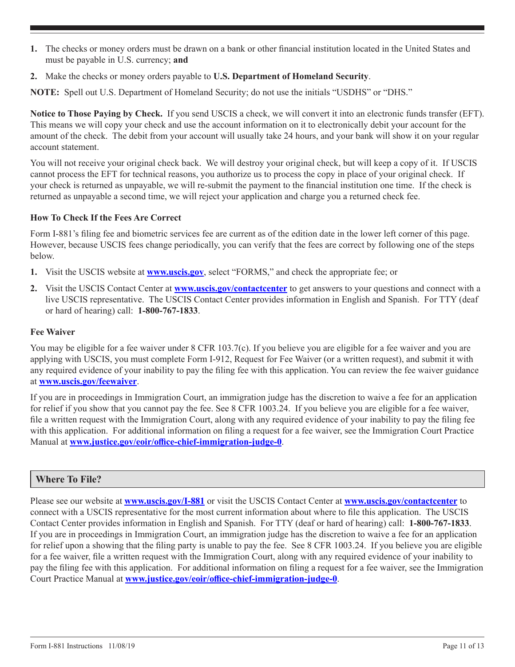- **1.** The checks or money orders must be drawn on a bank or other financial institution located in the United States and must be payable in U.S. currency; **and**
- **2.** Make the checks or money orders payable to **U.S. Department of Homeland Security**.

**NOTE:** Spell out U.S. Department of Homeland Security; do not use the initials "USDHS" or "DHS."

**Notice to Those Paying by Check.** If you send USCIS a check, we will convert it into an electronic funds transfer (EFT). This means we will copy your check and use the account information on it to electronically debit your account for the amount of the check. The debit from your account will usually take 24 hours, and your bank will show it on your regular account statement.

You will not receive your original check back. We will destroy your original check, but will keep a copy of it. If USCIS cannot process the EFT for technical reasons, you authorize us to process the copy in place of your original check. If your check is returned as unpayable, we will re-submit the payment to the financial institution one time. If the check is returned as unpayable a second time, we will reject your application and charge you a returned check fee.

## **How To Check If the Fees Are Correct**

Form I-881's filing fee and biometric services fee are current as of the edition date in the lower left corner of this page. However, because USCIS fees change periodically, you can verify that the fees are correct by following one of the steps below.

- **1.** Visit the USCIS website at **www.uscis.gov**, select "FORMS," and check the appropriate fee; or
- **2.** Visit the USCIS Contact Center at **www.uscis.gov/contactcenter** to get answers to your questions and connect with a live USCIS representative. The USCIS Contact Center provides information in English and Spanish. For TTY (deaf or hard of hearing) call: **1-800-767-1833**.

## **Fee Waiver**

You may be eligible for a fee waiver under 8 CFR 103.7(c). If you believe you are eligible for a fee waiver and you are applying with USCIS, you must complete Form I-912, Request for Fee Waiver (or a written request), and submit it with any required evidence of your inability to pay the filing fee with this application. You can review the fee waiver guidance at **www.uscis.gov/feewaiver**.

If you are in proceedings in Immigration Court, an immigration judge has the discretion to waive a fee for an application for relief if you show that you cannot pay the fee. See 8 CFR 1003.24. If you believe you are eligible for a fee waiver, file a written request with the Immigration Court, along with any required evidence of your inability to pay the filing fee with this application. For additional information on filing a request for a fee waiver, see the Immigration Court Practice Manual at **www.justice.gov/eoir/office-chief-immigration-judge-0**.

## **Where To File?**

Please see our website at **www.uscis.gov/I-881** or visit the USCIS Contact Center at **www.uscis.gov/contactcenter** to connect with a USCIS representative for the most current information about where to file this application. The USCIS Contact Center provides information in English and Spanish. For TTY (deaf or hard of hearing) call: **1-800-767-1833**. If you are in proceedings in Immigration Court, an immigration judge has the discretion to waive a fee for an application for relief upon a showing that the filing party is unable to pay the fee. See 8 CFR 1003.24. If you believe you are eligible for a fee waiver, file a written request with the Immigration Court, along with any required evidence of your inability to pay the filing fee with this application. For additional information on filing a request for a fee waiver, see the Immigration Court Practice Manual at **www.justice.gov/eoir/office-chief-immigration-judge-0**.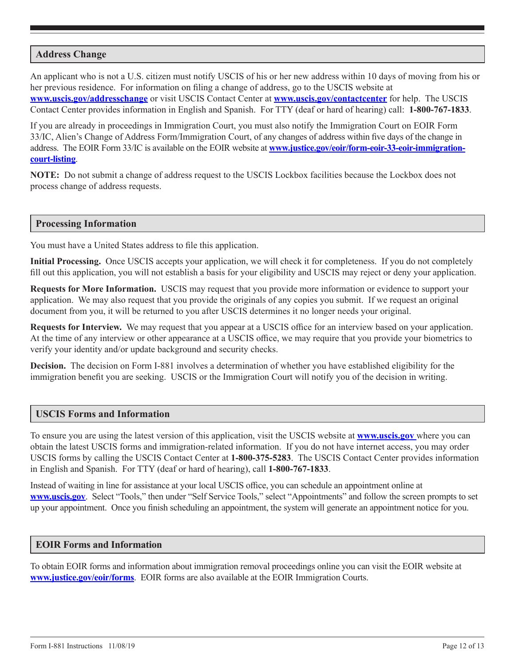## **Address Change**

An applicant who is not a U.S. citizen must notify USCIS of his or her new address within 10 days of moving from his or her previous residence. For information on filing a change of address, go to the USCIS website at **www.uscis.gov/addresschange** or visit USCIS Contact Center at **www.uscis.gov/contactcenter** for help. The USCIS Contact Center provides information in English and Spanish. For TTY (deaf or hard of hearing) call: **1-800-767-1833**.

If you are already in proceedings in Immigration Court, you must also notify the Immigration Court on EOIR Form 33/IC, Alien's Change of Address Form/Immigration Court, of any changes of address within five days of the change in address. The EOIR Form 33/IC is available on the EOIR website at **www.justice.gov/eoir/form-eoir-33-eoir-immigrationcourt-listing**.

**NOTE:** Do not submit a change of address request to the USCIS Lockbox facilities because the Lockbox does not process change of address requests.

#### **Processing Information**

You must have a United States address to file this application.

**Initial Processing.** Once USCIS accepts your application, we will check it for completeness. If you do not completely fill out this application, you will not establish a basis for your eligibility and USCIS may reject or deny your application.

**Requests for More Information.** USCIS may request that you provide more information or evidence to support your application. We may also request that you provide the originals of any copies you submit. If we request an original document from you, it will be returned to you after USCIS determines it no longer needs your original.

**Requests for Interview.** We may request that you appear at a USCIS office for an interview based on your application. At the time of any interview or other appearance at a USCIS office, we may require that you provide your biometrics to verify your identity and/or update background and security checks.

**Decision.** The decision on Form I-881 involves a determination of whether you have established eligibility for the immigration benefit you are seeking. USCIS or the Immigration Court will notify you of the decision in writing.

#### **USCIS Forms and Information**

To ensure you are using the latest version of this application, visit the USCIS website at **www.uscis.gov** where you can obtain the latest USCIS forms and immigration-related information. If you do not have internet access, you may order USCIS forms by calling the USCIS Contact Center at **1-800-375-5283**. The USCIS Contact Center provides information in English and Spanish. For TTY (deaf or hard of hearing), call **1-800-767-1833**.

Instead of waiting in line for assistance at your local USCIS office, you can schedule an appointment online at **www.uscis.gov**. Select "Tools," then under "Self Service Tools," select "Appointments" and follow the screen prompts to set up your appointment. Once you finish scheduling an appointment, the system will generate an appointment notice for you.

#### **EOIR Forms and Information**

To obtain EOIR forms and information about immigration removal proceedings online you can visit the EOIR website at **www.justice.gov/eoir/forms**. EOIR forms are also available at the EOIR Immigration Courts.